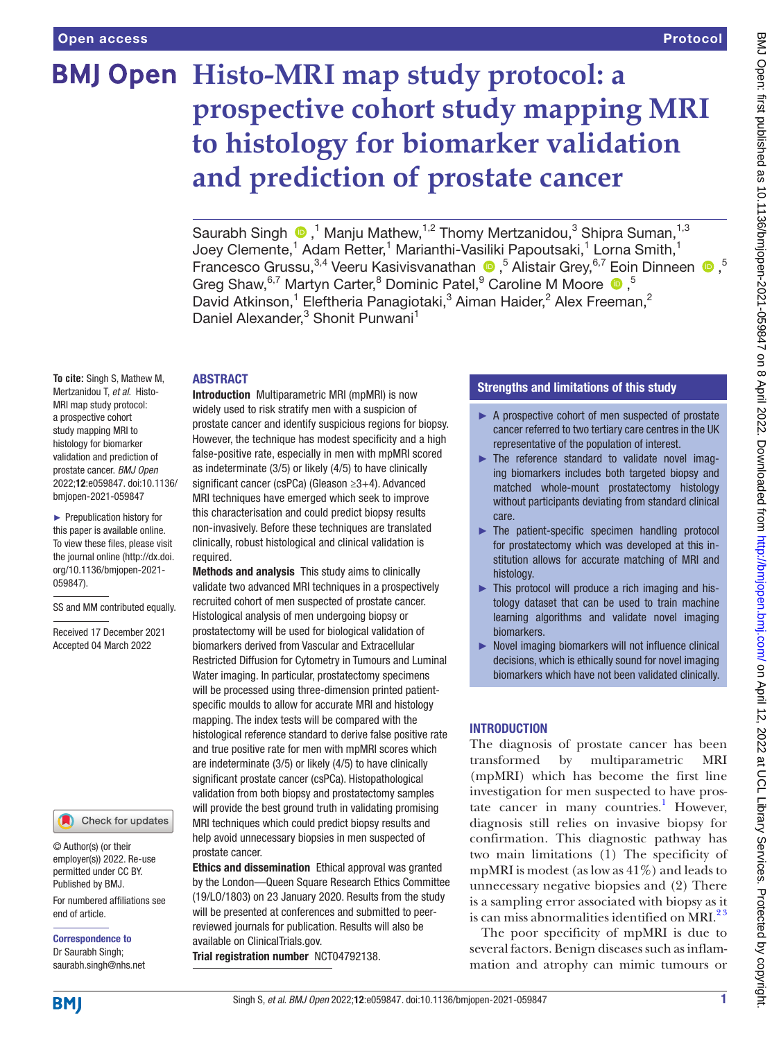# **BMJ Open Histo-MRI map study protocol: a prospective cohort study mapping MRI to histology for biomarker validation and prediction of prostate cancer**

SaurabhSingh  $\bigcirc$ ,<sup>1</sup> Manju Mathew,<sup>1,2</sup> Thomy Mertzanidou,<sup>3</sup> Shipra Suman,<sup>1,3</sup> Joey Clemente,<sup>1</sup> Adam Retter,<sup>1</sup> Marianthi-Vasiliki Papoutsaki,<sup>1</sup> Lorna Smith,<sup>1</sup> FrancescoGrussu,<sup>3,4</sup> Veeru Kasivisvanathan  $\bullet$ ,<sup>5</sup> Alistair Grey,<sup>6,7</sup> Eoin Dinneen  $\bullet$ ,<sup>5</sup> GregShaw, <sup>6,7</sup> Martyn Carter, <sup>8</sup> Dominic Patel, <sup>9</sup> Caroline M Moore <sup>19</sup>, <sup>5</sup> David Atkinson,<sup>1</sup> Eleftheria Panagiotaki,<sup>3</sup> Aiman Haider,<sup>2</sup> Alex Freeman,<sup>2</sup> Daniel Alexander,<sup>3</sup> Shonit Punwani<sup>1</sup>

# **ABSTRACT**

**To cite:** Singh S, Mathew M, Mertzanidou T, *et al*. Histo-MRI map study protocol: a prospective cohort study mapping MRI to histology for biomarker validation and prediction of prostate cancer. *BMJ Open* 2022;12:e059847. doi:10.1136/ bmjopen-2021-059847

► Prepublication history for this paper is available online. To view these files, please visit the journal online [\(http://dx.doi.](http://dx.doi.org/10.1136/bmjopen-2021-059847) [org/10.1136/bmjopen-2021-](http://dx.doi.org/10.1136/bmjopen-2021-059847) [059847\)](http://dx.doi.org/10.1136/bmjopen-2021-059847).

SS and MM contributed equally.

Received 17 December 2021 Accepted 04 March 2022

# Check for updates

© Author(s) (or their employer(s)) 2022. Re-use permitted under CC BY. Published by BMJ.

For numbered affiliations see end of article.

Correspondence to Dr Saurabh Singh; saurabh.singh@nhs.net

Introduction Multiparametric MRI (mpMRI) is now widely used to risk stratify men with a suspicion of prostate cancer and identify suspicious regions for biopsy. However, the technique has modest specificity and a high false-positive rate, especially in men with mpMRI scored as indeterminate (3/5) or likely (4/5) to have clinically significant cancer (csPCa) (Gleason ≥3+4). Advanced MRI techniques have emerged which seek to improve this characterisation and could predict biopsy results non-invasively. Before these techniques are translated clinically, robust histological and clinical validation is required.

Methods and analysis This study aims to clinically validate two advanced MRI techniques in a prospectively recruited cohort of men suspected of prostate cancer. Histological analysis of men undergoing biopsy or prostatectomy will be used for biological validation of biomarkers derived from Vascular and Extracellular Restricted Diffusion for Cytometry in Tumours and Luminal Water imaging. In particular, prostatectomy specimens will be processed using three-dimension printed patientspecific moulds to allow for accurate MRI and histology mapping. The index tests will be compared with the histological reference standard to derive false positive rate and true positive rate for men with mpMRI scores which are indeterminate (3/5) or likely (4/5) to have clinically significant prostate cancer (csPCa). Histopathological validation from both biopsy and prostatectomy samples will provide the best ground truth in validating promising MRI techniques which could predict biopsy results and help avoid unnecessary biopsies in men suspected of prostate cancer.

Ethics and dissemination Ethical approval was granted by the London—Queen Square Research Ethics Committee (19/LO/1803) on 23 January 2020. Results from the study will be presented at conferences and submitted to peerreviewed journals for publication. Results will also be available on ClinicalTrials.gov. Trial registration number <NCT04792138>.

# Strengths and limitations of this study

- ► A prospective cohort of men suspected of prostate cancer referred to two tertiary care centres in the UK representative of the population of interest.
- ► The reference standard to validate novel imaging biomarkers includes both targeted biopsy and matched whole-mount prostatectomy histology without participants deviating from standard clinical care.
- ► The patient-specific specimen handling protocol for prostatectomy which was developed at this institution allows for accurate matching of MRI and histology.
- ► This protocol will produce a rich imaging and histology dataset that can be used to train machine learning algorithms and validate novel imaging biomarkers.
- ► Novel imaging biomarkers will not influence clinical decisions, which is ethically sound for novel imaging biomarkers which have not been validated clinically.

# INTRODUCTION

The diagnosis of prostate cancer has been transformed by multiparametric MRI (mpMRI) which has become the first line investigation for men suspected to have pros-tate cancer in many countries.<sup>[1](#page-6-0)</sup> However, diagnosis still relies on invasive biopsy for confirmation. This diagnostic pathway has two main limitations (1) The specificity of mpMRI is modest (as low as 41%) and leads to unnecessary negative biopsies and (2) There is a sampling error associated with biopsy as it is can miss abnormalities identified on MRI. $^{23}$ 

The poor specificity of mpMRI is due to several factors. Benign diseases such as inflammation and atrophy can mimic tumours or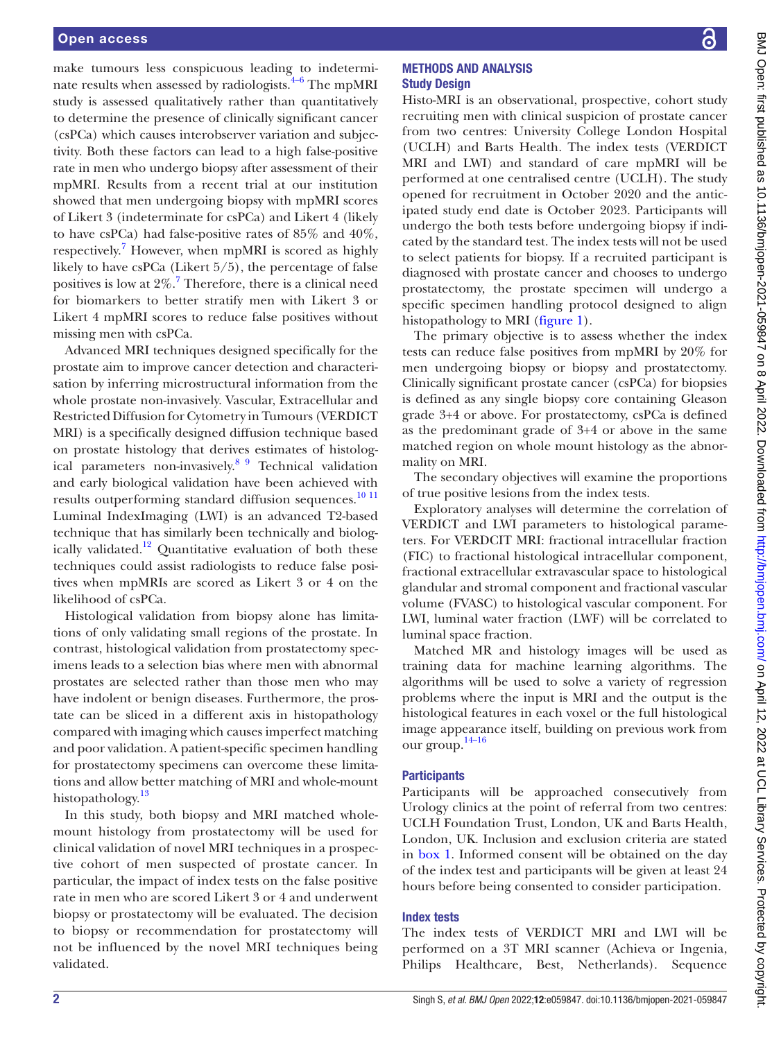make tumours less conspicuous leading to indeterminate results when assessed by radiologists. $4-6$  The mpMRI study is assessed qualitatively rather than quantitatively to determine the presence of clinically significant cancer (csPCa) which causes interobserver variation and subjectivity. Both these factors can lead to a high false-positive rate in men who undergo biopsy after assessment of their mpMRI. Results from a recent trial at our institution showed that men undergoing biopsy with mpMRI scores of Likert 3 (indeterminate for csPCa) and Likert 4 (likely to have csPCa) had false-positive rates of 85% and 40%, respectively.<sup>[7](#page-6-3)</sup> However, when mpMRI is scored as highly likely to have csPCa (Likert 5/5), the percentage of false positives is low at 2%.<sup>[7](#page-6-3)</sup> Therefore, there is a clinical need for biomarkers to better stratify men with Likert 3 or Likert 4 mpMRI scores to reduce false positives without missing men with csPCa.

Advanced MRI techniques designed specifically for the prostate aim to improve cancer detection and characterisation by inferring microstructural information from the whole prostate non-invasively. Vascular, Extracellular and Restricted Diffusion for Cytometry in Tumours (VERDICT MRI) is a specifically designed diffusion technique based on prostate histology that derives estimates of histological parameters non-invasively.<sup>89</sup> Technical validation and early biological validation have been achieved with results outperforming standard diffusion sequences.<sup>10 11</sup> Luminal IndexImaging (LWI) is an advanced T2-based technique that has similarly been technically and biologically validated.<sup>12</sup> Quantitative evaluation of both these techniques could assist radiologists to reduce false positives when mpMRIs are scored as Likert 3 or 4 on the likelihood of csPCa.

Histological validation from biopsy alone has limitations of only validating small regions of the prostate. In contrast, histological validation from prostatectomy specimens leads to a selection bias where men with abnormal prostates are selected rather than those men who may have indolent or benign diseases. Furthermore, the prostate can be sliced in a different axis in histopathology compared with imaging which causes imperfect matching and poor validation. A patient-specific specimen handling for prostatectomy specimens can overcome these limitations and allow better matching of MRI and whole-mount histopathology.<sup>[13](#page-6-7)</sup>

In this study, both biopsy and MRI matched wholemount histology from prostatectomy will be used for clinical validation of novel MRI techniques in a prospective cohort of men suspected of prostate cancer. In particular, the impact of index tests on the false positive rate in men who are scored Likert 3 or 4 and underwent biopsy or prostatectomy will be evaluated. The decision to biopsy or recommendation for prostatectomy will not be influenced by the novel MRI techniques being validated.

# METHODS AND ANALYSIS Study Design

Histo-MRI is an observational, prospective, cohort study recruiting men with clinical suspicion of prostate cancer from two centres: University College London Hospital (UCLH) and Barts Health. The index tests (VERDICT MRI and LWI) and standard of care mpMRI will be performed at one centralised centre (UCLH). The study opened for recruitment in October 2020 and the anticipated study end date is October 2023. Participants will undergo the both tests before undergoing biopsy if indicated by the standard test. The index tests will not be used to select patients for biopsy. If a recruited participant is diagnosed with prostate cancer and chooses to undergo prostatectomy, the prostate specimen will undergo a specific specimen handling protocol designed to align histopathology to MRI [\(figure](#page-2-0) 1).

The primary objective is to assess whether the index tests can reduce false positives from mpMRI by 20% for men undergoing biopsy or biopsy and prostatectomy. Clinically significant prostate cancer (csPCa) for biopsies is defined as any single biopsy core containing Gleason grade 3+4 or above. For prostatectomy, csPCa is defined as the predominant grade of 3+4 or above in the same matched region on whole mount histology as the abnormality on MRI.

The secondary objectives will examine the proportions of true positive lesions from the index tests.

Exploratory analyses will determine the correlation of VERDICT and LWI parameters to histological parameters. For VERDCIT MRI: fractional intracellular fraction (FIC) to fractional histological intracellular component, fractional extracellular extravascular space to histological glandular and stromal component and fractional vascular volume (FVASC) to histological vascular component. For LWI, luminal water fraction (LWF) will be correlated to luminal space fraction.

Matched MR and histology images will be used as training data for machine learning algorithms. The algorithms will be used to solve a variety of regression problems where the input is MRI and the output is the histological features in each voxel or the full histological image appearance itself, building on previous work from our group. [14–16](#page-6-8)

# **Participants**

Participants will be approached consecutively from Urology clinics at the point of referral from two centres: UCLH Foundation Trust, London, UK and Barts Health, London, UK. Inclusion and exclusion criteria are stated in [box](#page-2-1) 1. Informed consent will be obtained on the day of the index test and participants will be given at least 24 hours before being consented to consider participation.

# Index tests

The index tests of VERDICT MRI and LWI will be performed on a 3T MRI scanner (Achieva or Ingenia, Philips Healthcare, Best, Netherlands). Sequence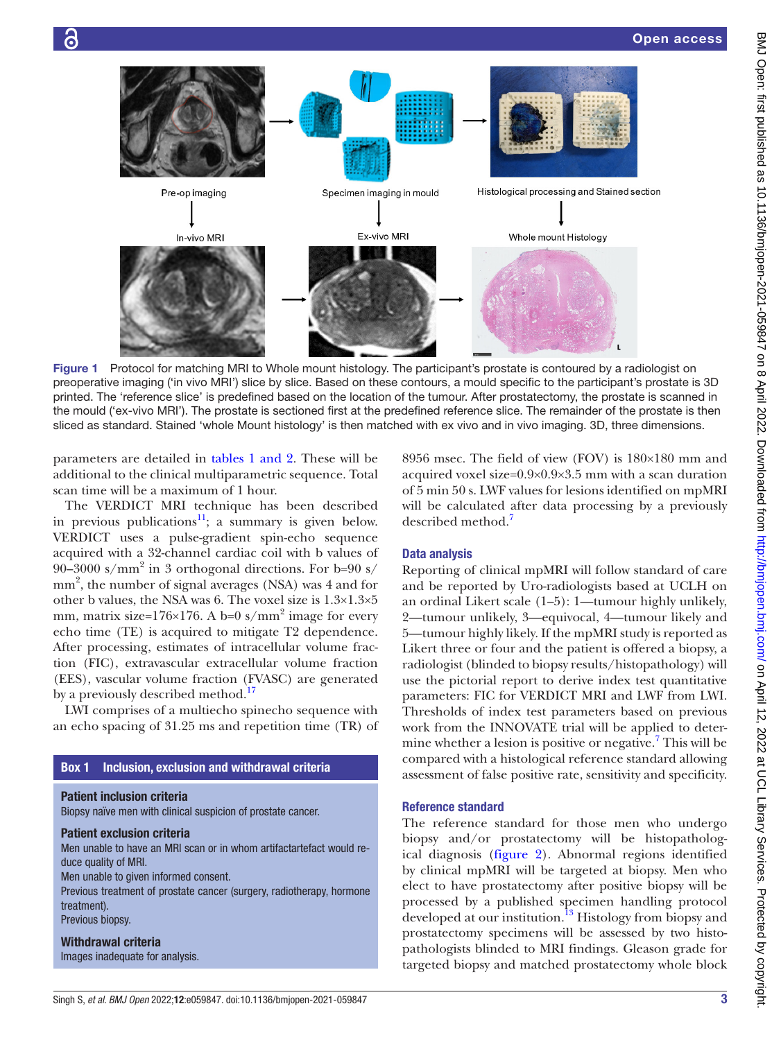

<span id="page-2-0"></span>Figure 1 Protocol for matching MRI to Whole mount histology. The participant's prostate is contoured by a radiologist on preoperative imaging ('in vivo MRI') slice by slice. Based on these contours, a mould specific to the participant's prostate is 3D printed. The 'reference slice' is predefined based on the location of the tumour. After prostatectomy, the prostate is scanned in the mould ('ex-vivo MRI'). The prostate is sectioned first at the predefined reference slice. The remainder of the prostate is then sliced as standard. Stained 'whole Mount histology' is then matched with ex vivo and in vivo imaging. 3D, three dimensions.

parameters are detailed in tables [1 and 2.](#page-3-0) These will be additional to the clinical multiparametric sequence. Total scan time will be a maximum of 1 hour.

The VERDICT MRI technique has been described in previous publications<sup>[11](#page-6-9)</sup>; a summary is given below. VERDICT uses a pulse-gradient spin-echo sequence acquired with a 32-channel cardiac coil with b values of 90–3000 s/mm<sup>2</sup> in 3 orthogonal directions. For b=90 s/ mm<sup>2</sup>, the number of signal averages (NSA) was 4 and for other b values, the NSA was 6. The voxel size is 1.3×1.3×5 mm, matrix size= $176\times176$ . A b=0 s/mm<sup>2</sup> image for every echo time (TE) is acquired to mitigate T2 dependence. After processing, estimates of intracellular volume fraction (FIC), extravascular extracellular volume fraction (EES), vascular volume fraction (FVASC) are generated by a previously described method.<sup>17</sup>

LWI comprises of a multiecho spinecho sequence with an echo spacing of 31.25 ms and repetition time (TR) of

## Box 1 Inclusion, exclusion and withdrawal criteria

<span id="page-2-1"></span>Patient inclusion criteria

Biopsy naïve men with clinical suspicion of prostate cancer.

# Patient exclusion criteria

Men unable to have an MRI scan or in whom artifactartefact would reduce quality of MRI.

Men unable to given informed consent.

Previous treatment of prostate cancer (surgery, radiotherapy, hormone treatment).

Previous biopsy.

Withdrawal criteria Images inadequate for analysis. 8956 msec. The field of view (FOV) is 180×180 mm and acquired voxel size= $0.9\times0.9\times3.5$  mm with a scan duration of 5 min 50 s. LWF values for lesions identified on mpMRI will be calculated after data processing by a previously described method[.7](#page-6-3)

#### Data analysis

Reporting of clinical mpMRI will follow standard of care and be reported by Uro-radiologists based at UCLH on an ordinal Likert scale (1–5): 1—tumour highly unlikely, 2—tumour unlikely, 3—equivocal, 4—tumour likely and 5—tumour highly likely. If the mpMRI study is reported as Likert three or four and the patient is offered a biopsy, a radiologist (blinded to biopsy results/histopathology) will use the pictorial report to derive index test quantitative parameters: FIC for VERDICT MRI and LWF from LWI. Thresholds of index test parameters based on previous work from the INNOVATE trial will be applied to deter-mine whether a lesion is positive or negative.<sup>[7](#page-6-3)</sup> This will be compared with a histological reference standard allowing assessment of false positive rate, sensitivity and specificity.

#### Reference standard

The reference standard for those men who undergo biopsy and/or prostatectomy will be histopathological diagnosis ([figure](#page-5-0) 2). Abnormal regions identified by clinical mpMRI will be targeted at biopsy. Men who elect to have prostatectomy after positive biopsy will be processed by a published specimen handling protocol developed at our institution.<sup>13</sup> Histology from biopsy and prostatectomy specimens will be assessed by two histopathologists blinded to MRI findings. Gleason grade for targeted biopsy and matched prostatectomy whole block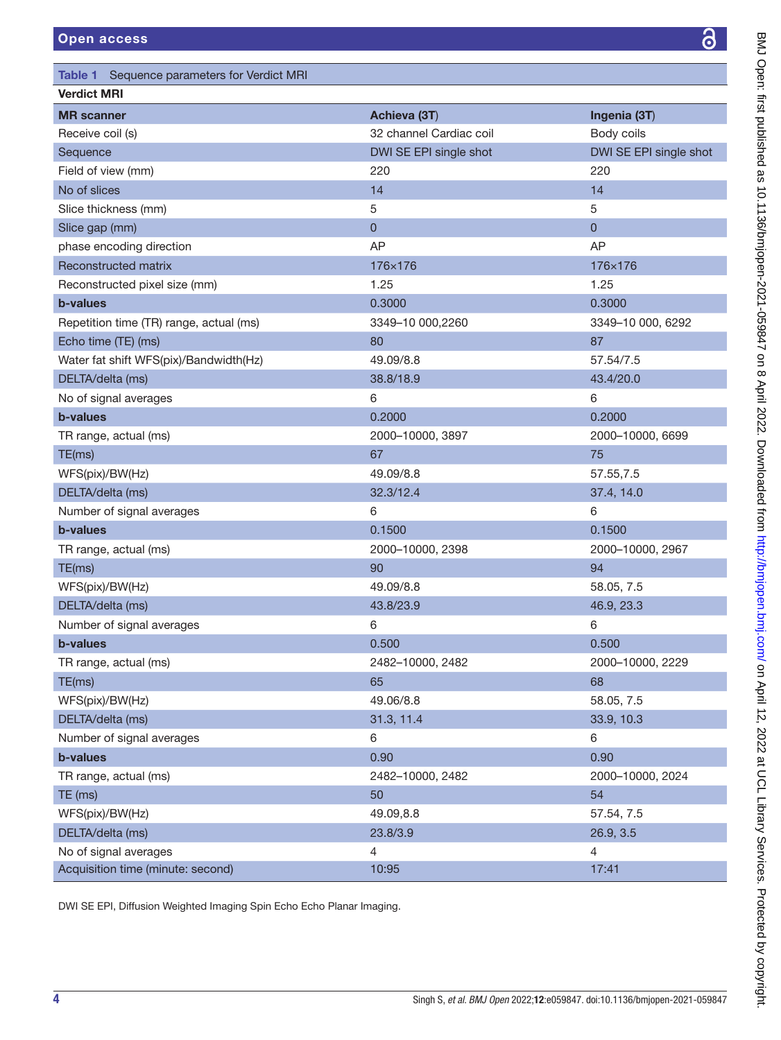<span id="page-3-0"></span>

| Table 1 Sequence parameters for Verdict MRI |                         |                        |  |
|---------------------------------------------|-------------------------|------------------------|--|
| <b>Verdict MRI</b>                          |                         |                        |  |
| <b>MR</b> scanner                           | Achieva (3T)            | Ingenia (3T)           |  |
| Receive coil (s)                            | 32 channel Cardiac coil | Body coils             |  |
| Sequence                                    | DWI SE EPI single shot  | DWI SE EPI single shot |  |
| Field of view (mm)                          | 220                     | 220                    |  |
| No of slices                                | 14                      | 14                     |  |
| Slice thickness (mm)                        | 5                       | 5                      |  |
| Slice gap (mm)                              | $\pmb{0}$               | $\mathbf 0$            |  |
| phase encoding direction                    | AP                      | AP                     |  |
| Reconstructed matrix                        | 176×176                 | 176×176                |  |
| Reconstructed pixel size (mm)               | 1.25                    | 1.25                   |  |
| <b>b-values</b>                             | 0.3000                  | 0.3000                 |  |
| Repetition time (TR) range, actual (ms)     | 3349-10 000,2260        | 3349-10 000, 6292      |  |
| Echo time (TE) (ms)                         | 80                      | 87                     |  |
| Water fat shift WFS(pix)/Bandwidth(Hz)      | 49.09/8.8               | 57.54/7.5              |  |
| DELTA/delta (ms)                            | 38.8/18.9               | 43.4/20.0              |  |
| No of signal averages                       | 6                       | 6                      |  |
| <b>b-values</b>                             | 0.2000                  | 0.2000                 |  |
| TR range, actual (ms)                       | 2000-10000, 3897        | 2000-10000, 6699       |  |
| TE(ms)                                      | 67                      | 75                     |  |
| WFS(pix)/BW(Hz)                             | 49.09/8.8               | 57.55,7.5              |  |
| DELTA/delta (ms)                            | 32.3/12.4               | 37.4, 14.0             |  |
| Number of signal averages                   | 6                       | 6                      |  |
| <b>b-values</b>                             | 0.1500                  | 0.1500                 |  |
| TR range, actual (ms)                       | 2000-10000, 2398        | 2000-10000, 2967       |  |
| TE(ms)                                      | 90                      | 94                     |  |
| WFS(pix)/BW(Hz)                             | 49.09/8.8               | 58.05, 7.5             |  |
| DELTA/delta (ms)                            | 43.8/23.9               | 46.9, 23.3             |  |
| Number of signal averages                   | 6                       | 6                      |  |
| b-values                                    | 0.500                   | 0.500                  |  |
| TR range, actual (ms)                       | 2482-10000, 2482        | 2000-10000, 2229       |  |
| TE(ms)                                      | 65                      | 68                     |  |
| WFS(pix)/BW(Hz)                             | 49.06/8.8               | 58.05, 7.5             |  |
| DELTA/delta (ms)                            | 31.3, 11.4              | 33.9, 10.3             |  |
| Number of signal averages                   | 6                       | 6                      |  |
| b-values                                    | 0.90                    | 0.90                   |  |
| TR range, actual (ms)                       | 2482-10000, 2482        | 2000-10000, 2024       |  |
| TE (ms)                                     | 50                      | 54                     |  |
| WFS(pix)/BW(Hz)                             | 49.09,8.8               | 57.54, 7.5             |  |
| DELTA/delta (ms)                            | 23.8/3.9                | 26.9, 3.5              |  |
| No of signal averages                       | 4                       | 4                      |  |
| Acquisition time (minute: second)           | 10:95                   | 17:41                  |  |

DWI SE EPI, Diffusion Weighted Imaging Spin Echo Echo Planar Imaging.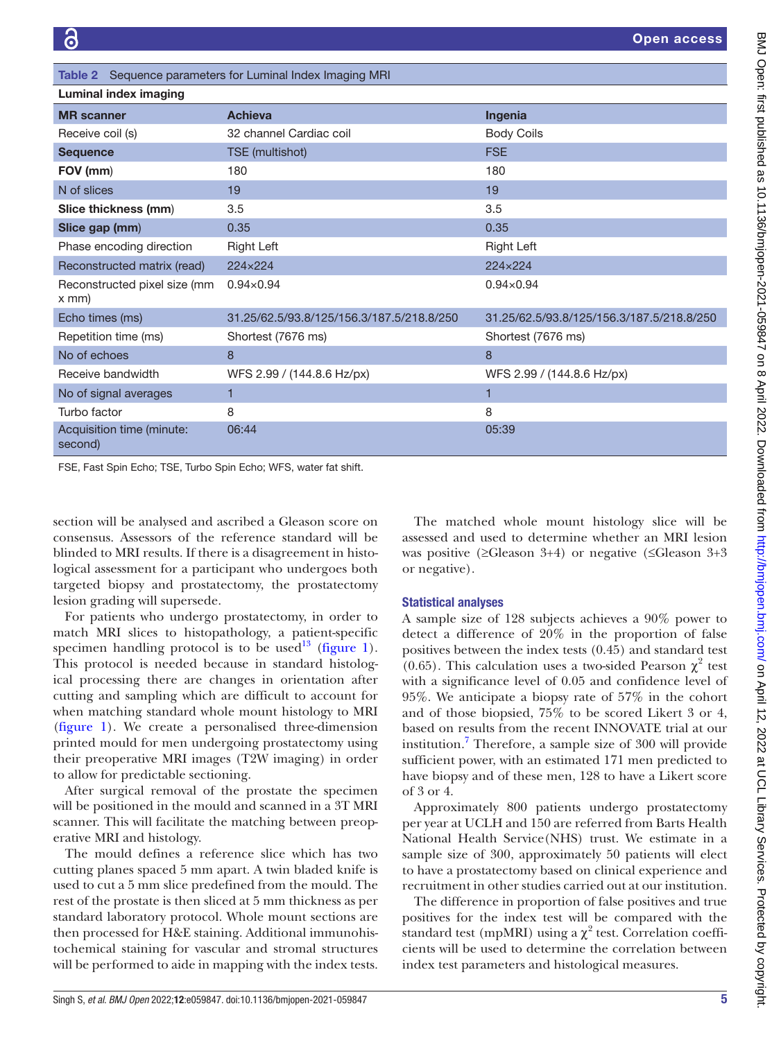| Table 2 Sequence parameters for Luminal Index Imaging MRI |                                           |                                           |  |  |
|-----------------------------------------------------------|-------------------------------------------|-------------------------------------------|--|--|
| Luminal index imaging                                     |                                           |                                           |  |  |
| <b>MR</b> scanner                                         | <b>Achieva</b>                            | Ingenia                                   |  |  |
| Receive coil (s)                                          | 32 channel Cardiac coil                   | <b>Body Coils</b>                         |  |  |
| <b>Sequence</b>                                           | TSE (multishot)                           | <b>FSE</b>                                |  |  |
| FOV (mm)                                                  | 180                                       | 180                                       |  |  |
| N of slices                                               | 19                                        | 19                                        |  |  |
| Slice thickness (mm)                                      | 3.5                                       | 3.5                                       |  |  |
| Slice gap (mm)                                            | 0.35                                      | 0.35                                      |  |  |
| Phase encoding direction                                  | Right Left                                | <b>Right Left</b>                         |  |  |
| Reconstructed matrix (read)                               | 224×224                                   | 224×224                                   |  |  |
| Reconstructed pixel size (mm<br>$x$ mm $)$                | $0.94 \times 0.94$                        | $0.94 \times 0.94$                        |  |  |
| Echo times (ms)                                           | 31.25/62.5/93.8/125/156.3/187.5/218.8/250 | 31.25/62.5/93.8/125/156.3/187.5/218.8/250 |  |  |
| Repetition time (ms)                                      | Shortest (7676 ms)                        | Shortest (7676 ms)                        |  |  |
| No of echoes                                              | 8                                         | 8                                         |  |  |
| Receive bandwidth                                         | WFS 2.99 / (144.8.6 Hz/px)                | WFS 2.99 / (144.8.6 Hz/px)                |  |  |
| No of signal averages                                     |                                           | 1                                         |  |  |
| Turbo factor                                              | 8                                         | 8                                         |  |  |
| Acquisition time (minute:<br>second)                      | 06:44                                     | 05:39                                     |  |  |

FSE, Fast Spin Echo; TSE, Turbo Spin Echo; WFS, water fat shift.

section will be analysed and ascribed a Gleason score on consensus. Assessors of the reference standard will be blinded to MRI results. If there is a disagreement in histological assessment for a participant who undergoes both targeted biopsy and prostatectomy, the prostatectomy lesion grading will supersede.

For patients who undergo prostatectomy, in order to match MRI slices to histopathology, a patient-specific specimen handling protocol is to be used<sup>13</sup> ([figure](#page-2-0) 1). This protocol is needed because in standard histological processing there are changes in orientation after cutting and sampling which are difficult to account for when matching standard whole mount histology to MRI ([figure](#page-2-0) 1). We create a personalised three-dimension printed mould for men undergoing prostatectomy using their preoperative MRI images (T2W imaging) in order to allow for predictable sectioning.

After surgical removal of the prostate the specimen will be positioned in the mould and scanned in a 3T MRI scanner. This will facilitate the matching between preoperative MRI and histology.

The mould defines a reference slice which has two cutting planes spaced 5 mm apart. A twin bladed knife is used to cut a 5 mm slice predefined from the mould. The rest of the prostate is then sliced at 5 mm thickness as per standard laboratory protocol. Whole mount sections are then processed for H&E staining. Additional immunohistochemical staining for vascular and stromal structures will be performed to aide in mapping with the index tests.

The matched whole mount histology slice will be assessed and used to determine whether an MRI lesion was positive (≥Gleason 3+4) or negative (≤Gleason 3+3 or negative).

## Statistical analyses

A sample size of 128 subjects achieves a 90% power to detect a difference of 20% in the proportion of false positives between the index tests (0.45) and standard test (0.65). This calculation uses a two-sided Pearson  $\chi^2$  test with a significance level of 0.05 and confidence level of 95%. We anticipate a biopsy rate of 57% in the cohort and of those biopsied, 75% to be scored Likert 3 or 4, based on results from the recent INNOVATE trial at our institution.<sup>[7](#page-6-3)</sup> Therefore, a sample size of 300 will provide sufficient power, with an estimated 171 men predicted to have biopsy and of these men, 128 to have a Likert score of 3 or 4.

Approximately 800 patients undergo prostatectomy per year at UCLH and 150 are referred from Barts Health National Health Service(NHS) trust. We estimate in a sample size of 300, approximately 50 patients will elect to have a prostatectomy based on clinical experience and recruitment in other studies carried out at our institution.

The difference in proportion of false positives and true positives for the index test will be compared with the standard test (mpMRI) using a  $\chi^2$  test. Correlation coefficients will be used to determine the correlation between index test parameters and histological measures.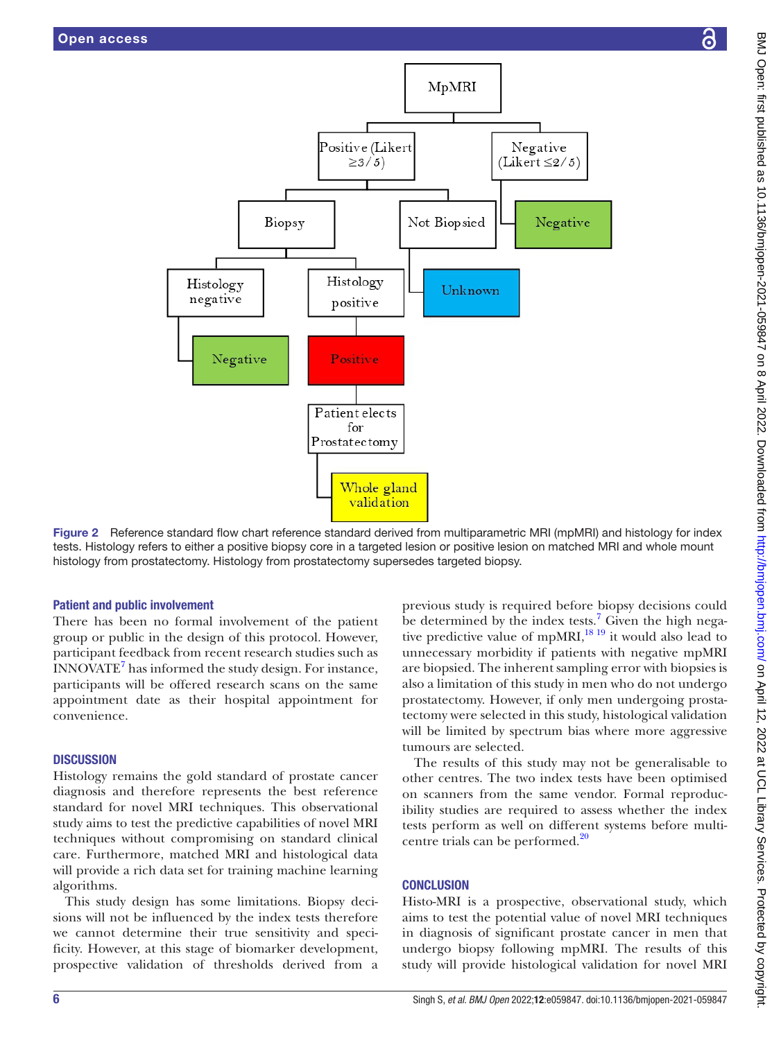



Figure 2 Reference standard flow chart reference standard derived from multiparametric MRI (mpMRI) and histology for index tests. Histology refers to either a positive biopsy core in a targeted lesion or positive lesion on matched MRI and whole mount histology from prostatectomy. Histology from prostatectomy supersedes targeted biopsy.

# Patient and public involvement

There has been no formal involvement of the patient group or public in the design of this protocol. However, participant feedback from recent research studies such as  $\widehat{\text{INNOVATE}}^7$  has informed the study design. For instance, participants will be offered research scans on the same appointment date as their hospital appointment for convenience.

# **DISCUSSION**

Histology remains the gold standard of prostate cancer diagnosis and therefore represents the best reference standard for novel MRI techniques. This observational study aims to test the predictive capabilities of novel MRI techniques without compromising on standard clinical care. Furthermore, matched MRI and histological data will provide a rich data set for training machine learning algorithms.

This study design has some limitations. Biopsy decisions will not be influenced by the index tests therefore we cannot determine their true sensitivity and specificity. However, at this stage of biomarker development, prospective validation of thresholds derived from a

<span id="page-5-0"></span>previous study is required before biopsy decisions could be determined by the index tests.<sup>[7](#page-6-3)</sup> Given the high negative predictive value of mpMRI, $^{18}$  19 it would also lead to unnecessary morbidity if patients with negative mpMRI are biopsied. The inherent sampling error with biopsies is also a limitation of this study in men who do not undergo prostatectomy. However, if only men undergoing prostatectomy were selected in this study, histological validation will be limited by spectrum bias where more aggressive tumours are selected.

The results of this study may not be generalisable to other centres. The two index tests have been optimised on scanners from the same vendor. Formal reproducibility studies are required to assess whether the index tests perform as well on different systems before multicentre trials can be performed.<sup>20</sup>

# **CONCLUSION**

Histo-MRI is a prospective, observational study, which aims to test the potential value of novel MRI techniques in diagnosis of significant prostate cancer in men that undergo biopsy following mpMRI. The results of this study will provide histological validation for novel MRI